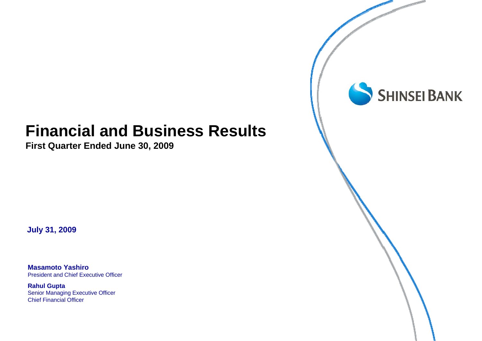# **Financial and Business Results**

**First Quarter Ended June 30, 2009**

**July 31, 2009**

**Masamoto Yashiro**President and Chief Executive Officer

**Rahul Gupta** Senior Managing Executive Officer Chief Financial Officer

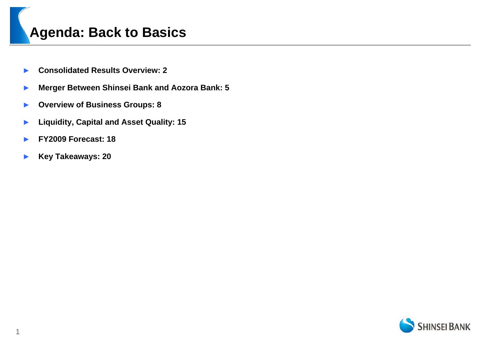# **Agenda: Back to Basics**

- ►**Consolidated Results Overview: 2**
- ►**Merger Between Shinsei Bank and Aozora Bank: 5**
- ►**Overview of Business Groups: 8**
- ►**Liquidity, Capital and Asset Quality: 15**
- ►**FY2009 Forecast: 18**
- ►**Key Takeaways: 20**

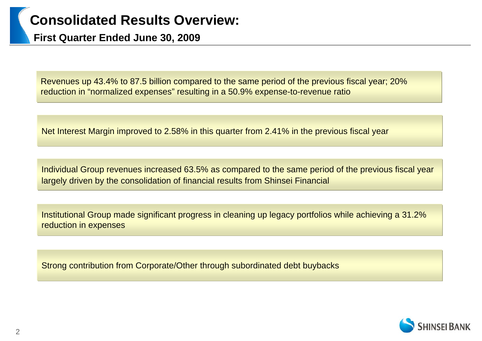# **Consolidated Results Overview:**

**First Quarter Ended June 30, 2009**

Revenues up 43.4% to 87.5 billion compared to the same period of the previous fiscal year; 20% reduction in "normalized expenses" resulting in a 50.9% expense-to-revenue ratio

Net Interest Margin improved to 2.58% in this quarter from 2.41% in the previous fiscal year

Individual Group revenues increased 63.5% as compared to the same period of the previous fiscal year largely driven by the consolidation of financial results from Shinsei Financial

Institutional Group made significant progress in cleaning up legacy portfolios while achieving a 31.2% reduction in expenses

Strong contribution from Corporate/Other through subordinated debt buybacks

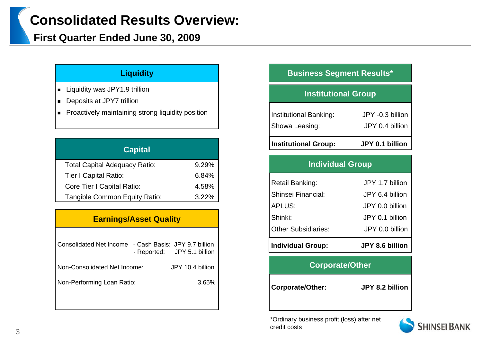# **Consolidated Results Overview:**

### **First Quarter Ended June 30, 2009**

- Liquidity was JPY1.9 trillion
- Deposits at JPY7 trillion
- Proactively maintaining strong liquidity position

| <b>Capital</b>                       |       |
|--------------------------------------|-------|
| <b>Total Capital Adequacy Ratio:</b> | 9.29% |
| <b>Tier I Capital Ratio:</b>         | 6.84% |
| Core Tier I Capital Ratio:           | 4.58% |
| Tangible Common Equity Ratio:        | 3.22% |

#### **Earnings/Asset Quality**

| Consolidated Net Income - Cash Basis: JPY 9.7 billion | - Reported: JPY 5.1 billion |                  |       |
|-------------------------------------------------------|-----------------------------|------------------|-------|
| Non-Consolidated Net Income:                          |                             | JPY 10.4 billion |       |
| Non-Performing Loan Ratio:                            |                             |                  | 3.65% |
|                                                       |                             |                  |       |

#### **Liquidity Business Segment Results\***

### **Institutional Group**

| <b>Institutional Group:</b> | JPY 0.1 billion  |
|-----------------------------|------------------|
| Showa Leasing:              | JPY 0.4 billion  |
| Institutional Banking:      | JPY -0.3 billion |

#### **Individual Group**

| <b>Individual Group:</b>   | <b>JPY 8.6 billion</b> |
|----------------------------|------------------------|
| <b>Other Subsidiaries:</b> | JPY 0.0 billion        |
| Shinki:                    | JPY 0.1 billion        |
| APLUS:                     | JPY 0.0 billion        |
| Shinsei Financial:         | JPY 6.4 billion        |
| Retail Banking:            | JPY 1.7 billion        |
|                            |                        |

#### **Corporate/Other**

**Corporate/Other: JPY 8.2 billion**

\*Ordinary business profit (loss) after net credit costs

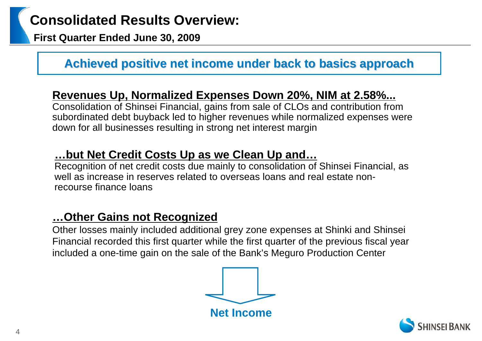**First Quarter Ended June 30, 2009**

# **Achieved positive net income under back to basics approach Achieved positive net income under back to basics approach**

## **Revenues Up, Normalized Expenses Down 20%, NIM at 2.58%...**

Consolidation of Shinsei Financial, gains from sale of CLOs and contribution from subordinated debt buyback led to higher revenues while normalized expenses were down for all businesses resulting in strong net interest margin

## **…but Net Credit Costs Up as we Clean Up and…**

Recognition of net credit costs due mainly to consolidation of Shinsei Financial, as well as increase in reserves related to overseas loans and real estate nonrecourse finance loans

# **…Other Gains not Recognized**

Other losses mainly included additional grey zone expenses at Shinki and Shinsei Financial recorded this first quarter while the first quarter of the previous fiscal year included a one-time gain on the sale of the Bank's Meguro Production Center



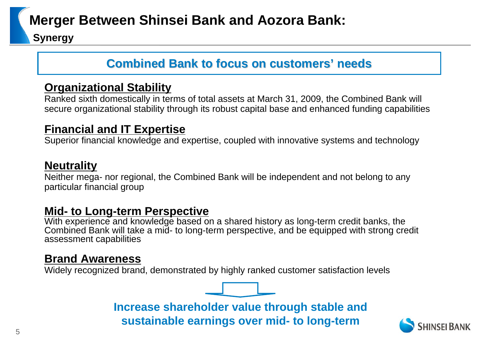# **Merger Between Shinsei Bank and Aozora Bank:**

**Synergy**

# **Combined Bank to focus on customers Combined Bank to focus on customers' needs**

## **Organizational Stability**

Ranked sixth domestically in terms of total assets at March 31, 2009, the Combined Bank will secure organizational stability through its robust capital base and enhanced funding capabilities

## **Financial and IT Expertise**

Superior financial knowledge and expertise, coupled with innovative systems and technology

## **Neutrality**

Neither mega- nor regional, the Combined Bank will be independent and not belong to any particular financial group

## **Mid- to Long-term Perspective**

With experience and knowledge based on a shared history as long-term credit banks, the Combined Bank will take a mid- to long-term perspective, and be equipped with strong credit assessment capabilities

## **Brand Awareness**

Widely recognized brand, demonstrated by highly ranked customer satisfaction levels



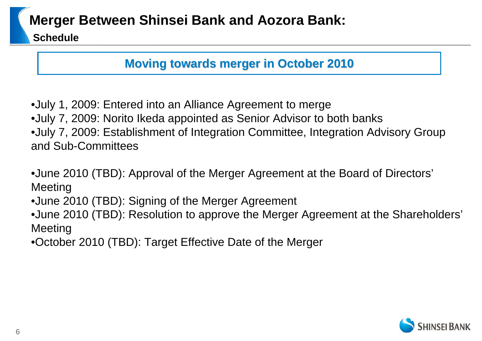# **Merger Between Shinsei Bank and Aozora Bank:**

**Schedule**

# **Moving towards merger in October 2010 Moving towards merger in October 2010**

•July 1, 2009: Entered into an Alliance Agreement to merge

•July 7, 2009: Norito Ikeda appointed as Senior Advisor to both banks

•July 7, 2009: Establishment of Integration Committee, Integration Advisory Group and Sub-Committees

•June 2010 (TBD): Approval of the Merger Agreement at the Board of Directors' Meeting

•June 2010 (TBD): Signing of the Merger Agreement

•June 2010 (TBD): Resolution to approve the Merger Agreement at the Shareholders' Meeting

•October 2010 (TBD): Target Effective Date of the Merger

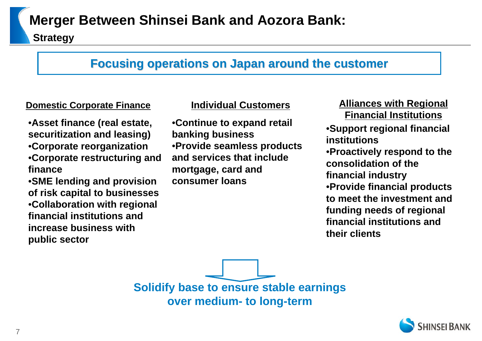# **Merger Between Shinsei Bank and Aozora Bank:**

**Strategy**

## **Focusing operations on Japan around the customer Focusing operations on Japan around the customer**

•**Asset finance (real estate, securitization and leasing)** •**Corporate reorganization** •**Corporate restructuring and finance**

•**SME lending and provision of risk capital to businesses** •**Collaboration with regional financial institutions and increase business with public sector**

•**Continue to expand retail banking business** •**Provide seamless products and services that include mortgage, card and consumer loans**

**Domestic Corporate Finance Individual Customers Alliances with Regional Financial Institutions**•**Support regional financial institutions**•**Proactively respond to the consolidation of the financial industry** •**Provide financial products to meet the investment and funding needs of regional financial institutions and their clients**

> **Solidify base to ensure stable earnings over medium- to long-term**

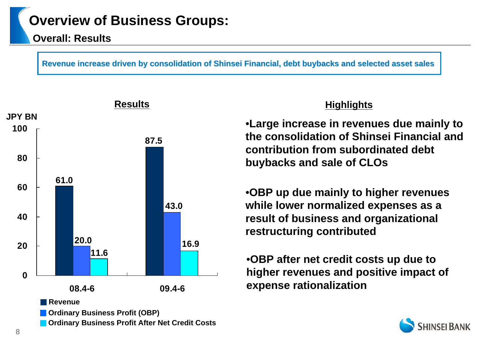#### **Overall: Results**

**Revenue increase driven by consolidation of Shinsei Financial, debt buybacks and selected asset sales** 



### **Highlights**

•**Large increase in revenues due mainly to the consolidation of Shinsei Financial and contribution from subordinated debt buybacks and sale of CLOs**

•**OBP up due mainly to higher revenues while lower normalized expenses as a result of business and organizational restructuring contributed**

•**OBP after net credit costs up due to higher revenues and positive impact of expense rationalization**

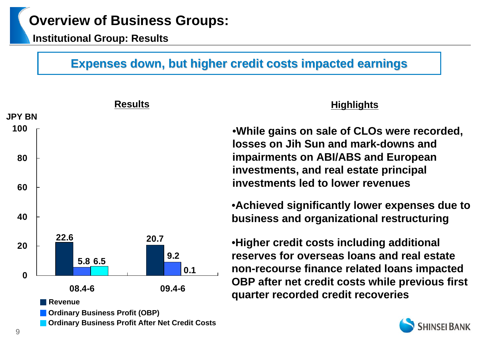**Institutional Group: Results**

# **Expenses down, but higher credit costs impacted earnings**

|             |                                       | <b>Results</b>                                         | <b>Highlights</b>                                                                                                                       |
|-------------|---------------------------------------|--------------------------------------------------------|-----------------------------------------------------------------------------------------------------------------------------------------|
| JPY BN      |                                       |                                                        |                                                                                                                                         |
| 100         |                                       |                                                        | .While gains on sale of CLOs were recorded,<br>losses on Jih Sun and mark-downs and                                                     |
| 80          |                                       |                                                        | <b>impairments on ABI/ABS and European</b><br>investments, and real estate principal                                                    |
| 60          |                                       |                                                        | investments led to lower revenues                                                                                                       |
| 40          |                                       |                                                        | • Achieved significantly lower expenses due to<br>business and organizational restructuring                                             |
| 20          | 22.6<br>5.8 6.5                       | 20.7<br>9.2<br>0.1                                     | •Higher credit costs including additional<br>reserves for overseas loans and real estate<br>non-recourse finance related loans impacted |
| $\mathbf 0$ | 08.4-6                                | 09.4-6                                                 | OBP after net credit costs while previous first<br>quarter recorded credit recoveries                                                   |
|             | <b>Revenue</b>                        |                                                        |                                                                                                                                         |
|             | <b>Ordinary Business Profit (OBP)</b> | <b>Ordinary Business Profit After Net Credit Costs</b> | <b>SHINSEI BANK</b>                                                                                                                     |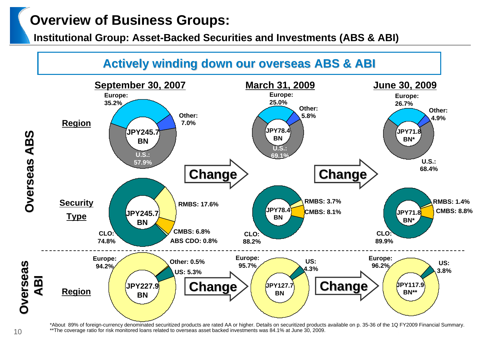**Institutional Group: Asset-Backed Securities and Investments (ABS & ABI)**



\*About 89% of foreign-currency denominated securitized products are rated AA or higher. Details on securitized products available on p. 35-36 of the 1Q FY2009 Financial Summary. \*\*The coverage ratio for risk monitored loans related to overseas asset backed investments was 84.1% at June 30, 2009.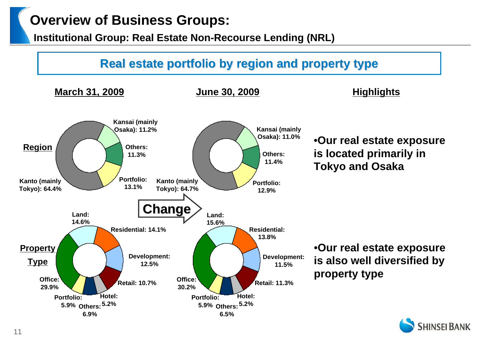**Institutional Group: Real Estate Non-Recourse Lending (NRL)**



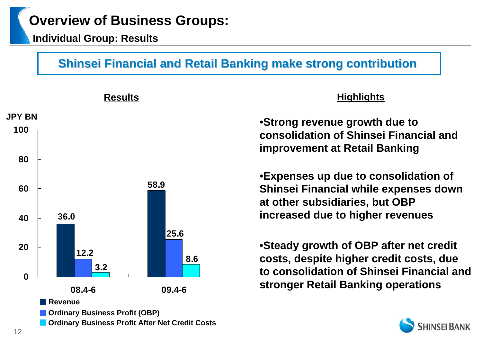**Individual Group: Results**

# **Shinsei Financial and Retail Banking make strong contribution**



### **Highlights**

•**Strong revenue growth due to consolidation of Shinsei Financial and improvement at Retail Banking**

•**Expenses up due to consolidation of Shinsei Financial while expenses down at other subsidiaries, but OBP increased due to higher revenues**

•**Steady growth of OBP after net credit costs, despite higher credit costs, due to consolidation of Shinsei Financial and stronger Retail Banking operations**

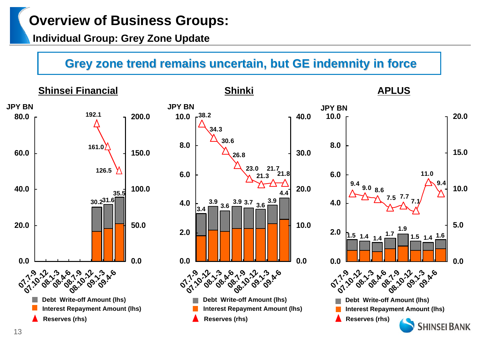## **Individual Group: Grey Zone Update**

# **Grey zone trend remains uncertain, but GE indemnity in force**

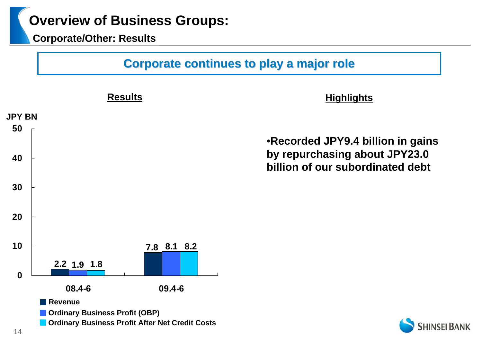**Corporate/Other: Results**

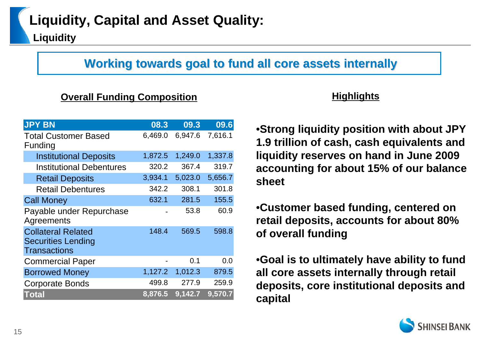# **Working towards goal to fund all core assets internally Working towards goal to fund all core assets internally**

### **Overall Funding Composition Highlights**

| <b>JPY BN</b>                                                                 | 08.3    | 09.3    | 09.6    |
|-------------------------------------------------------------------------------|---------|---------|---------|
| <b>Total Customer Based</b><br>Funding                                        | 6,469.0 | 6,947.6 | 7,616.1 |
| <b>Institutional Deposits</b>                                                 | 1,872.5 | 1,249.0 | 1,337.8 |
| <b>Institutional Debentures</b>                                               | 320.2   | 367.4   | 319.7   |
| <b>Retail Deposits</b>                                                        | 3,934.1 | 5,023.0 | 5,656.7 |
| <b>Retail Debentures</b>                                                      | 342.2   | 308.1   | 301.8   |
| <b>Call Money</b>                                                             | 632.1   | 281.5   | 155.5   |
| Payable under Repurchase<br>Agreements                                        |         | 53.8    | 60.9    |
| <b>Collateral Related</b><br><b>Securities Lending</b><br><b>Transactions</b> | 148.4   | 569.5   | 598.8   |
| <b>Commercial Paper</b>                                                       |         | 0.1     | 0.0     |
| <b>Borrowed Money</b>                                                         | 1,127.2 | 1,012.3 | 879.5   |
| <b>Corporate Bonds</b>                                                        | 499.8   | 277.9   | 259.9   |
| Total                                                                         | 8,876.5 | 9,142.7 | 9,570.7 |

•**Strong liquidity position with about JPY 1.9 trillion of cash, cash equivalents and liquidity reserves on hand in June 2009 accounting for about 15% of our balance sheet**

•**Customer based funding, centered on retail deposits, accounts for about 80% of overall funding**

•**Goal is to ultimately have ability to fund all core assets internally through retail deposits, core institutional deposits and capital**

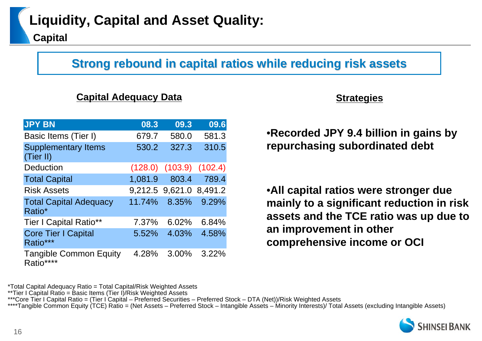# **Strong rebound in capital ratios while reducing risk assets**

#### **Capital Adequacy Data** *Capital Adequacy Data*

| <b>JPY BN</b>                              | 08.3    | 09.3    | 09.6    |
|--------------------------------------------|---------|---------|---------|
| Basic Items (Tier I)                       | 679.7   | 580.0   | 581.3   |
| <b>Supplementary Items</b><br>(Tier II)    | 530.2   | 327.3   | 310.5   |
| Deduction                                  | (128.0) | (103.9) | (102.4) |
| <b>Total Capital</b>                       | 1,081.9 | 803.4   | 789.4   |
| <b>Risk Assets</b>                         | 9,212.5 | 9,621.0 | 8,491.2 |
| <b>Total Capital Adequacy</b><br>Ratio*    | 11.74%  | 8.35%   | 9.29%   |
| <b>Tier I Capital Ratio**</b>              | 7.37%   | 6.02%   | 6.84%   |
| <b>Core Tier I Capital</b><br>Ratio***     | 5.52%   | 4.03%   | 4.58%   |
| <b>Tangible Common Equity</b><br>Ratio**** | 4.28%   | 3.00%   | 3.22%   |

•**Recorded JPY 9.4 billion in gains by repurchasing subordinated debt**

•**All capital ratios were stronger due mainly to a significant reduction in risk assets and the TCE ratio was up due to an improvement in other comprehensive income or OCI**

\*Total Capital Adequacy Ratio = Total Capital/Risk Weighted Assets

\*\*Tier I Capital Ratio = Basic Items (Tier I)/Risk Weighted Assets

\*\*\*Core Tier I Capital Ratio = (Tier I Capital – Preferred Securities – Preferred Stock – DTA (Net))/Risk Weighted Assets

\*\*\*\*Tangible Common Equity (TCE) Ratio = (Net Assets – Preferred Stock – Intangible Assets – Minority Interests)/ Total Assets (excluding Intangible Assets)

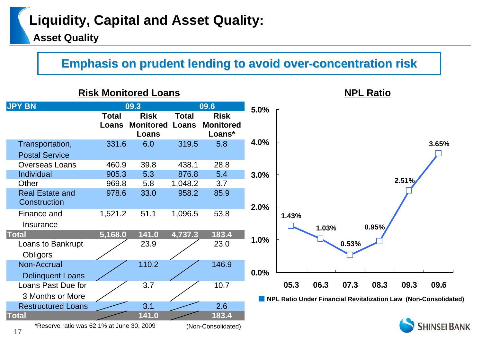# **Liquidity, Capital and Asset Quality:**

**Asset Quality**

# **Emphasis on prudent lending to avoid over-concentration risk**

### **Risk Monitored Loans**



**NPL Ratio**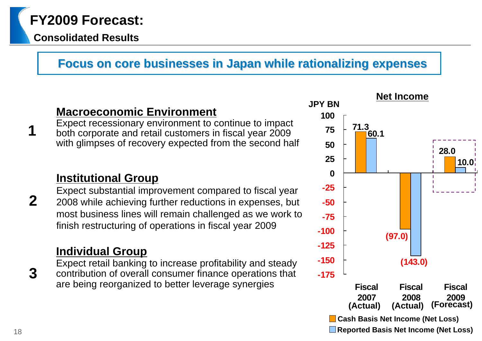# **FY2009 Forecast:**

## **Consolidated Results**

# **Focus on core businesses in Japan while rationalizing expenses Focus on core businesses in Japan while rationalizing expenses**

## **Macroeconomic Environment**

Expect recessionary environment to continue to impact both corporate and retail customers in fiscal year 2009 with glimpses of recovery expected from the second half

## **Institutional Group**

Expect substantial improvement compared to fiscal year 2008 while achieving further reductions in expenses, but most business lines will remain challenged as we work to finish restructuring of operations in fiscal year 2009

## **Individual Group**

Expect retail banking to increase profitability and steady contribution of overall consumer finance operations that are being reorganized to better leverage synergies



**1**

**2**

**3**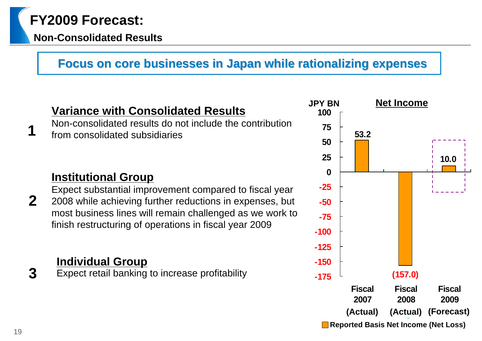# **FY2009 Forecast:**

## **Non-Consolidated Results**

# **Focus on core businesses in Japan while rationalizing expenses Focus on core businesses in Japan while rationalizing expenses**

# **Variance with Consolidated Results**

Non-consolidated results do not include the contribution from consolidated subsidiaries

# **Institutional Group**

Expect substantial improvement compared to fiscal year 2008 while achieving further reductions in expenses, but most business lines will remain challenged as we work to finish restructuring of operations in fiscal year 2009

# **Individual Group**

**3(157.0)** Expect retail banking to increase profitability



**1**

**2**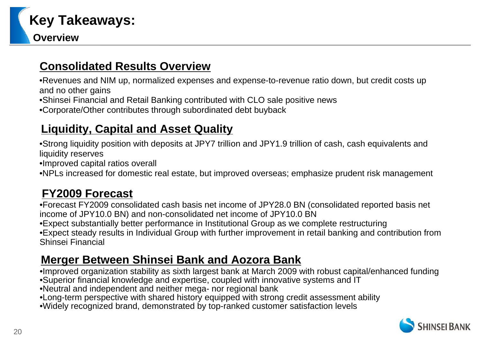

## **Consolidated Results Overview**

•Revenues and NIM up, normalized expenses and expense-to-revenue ratio down, but credit costs up and no other gains

•Shinsei Financial and Retail Banking contributed with CLO sale positive news

•Corporate/Other contributes through subordinated debt buyback

## **Liquidity, Capital and Asset Quality**

•Strong liquidity position with deposits at JPY7 trillion and JPY1.9 trillion of cash, cash equivalents and liquidity reserves

•Improved capital ratios overall

•NPLs increased for domestic real estate, but improved overseas; emphasize prudent risk management

## **FY2009 Forecast**

•Forecast FY2009 consolidated cash basis net income of JPY28.0 BN (consolidated reported basis net income of JPY10.0 BN) and non-consolidated net income of JPY10.0 BN •Expect substantially better performance in Institutional Group as we complete restructuring •Expect steady results in Individual Group with further improvement in retail banking and contribution from Shinsei Financial

## **Merger Between Shinsei Bank and Aozora Bank**

•Improved organization stability as sixth largest bank at March 2009 with robust capital/enhanced funding •Superior financial knowledge and expertise, coupled with innovative systems and IT

•Neutral and independent and neither mega- nor regional bank

•Long-term perspective with shared history equipped with strong credit assessment ability

•Widely recognized brand, demonstrated by top-ranked customer satisfaction levels

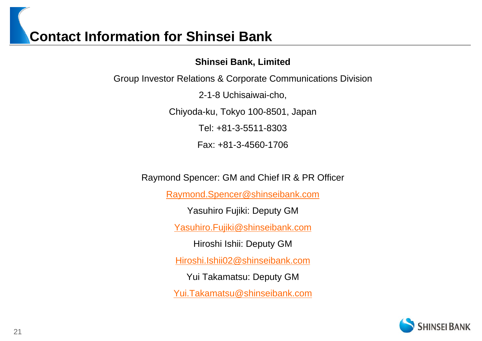# **Contact Information for Shinsei Bank**

**Shinsei Bank, Limited** 

Group Investor Relations & Corporate Communications Division

2-1-8 Uchisaiwai-cho,

Chiyoda-ku, Tokyo 100-8501, Japan

Tel: +81-3-5511-8303

Fax: +81-3-4560-1706

Raymond Spencer: GM and Chief IR & PR Officer

Raymond.Spencer@shinseibank.com

Yasuhiro Fujiki: Deputy GM

Yasuhiro.Fujiki@shinseibank.com

Hiroshi Ishii: Deputy GM

Hiroshi.Ishii02@shinseibank.com

Yui Takamatsu: Deputy GM

Yui.Takamatsu@shinseibank.com